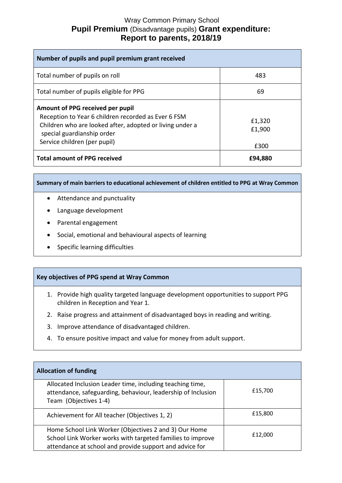## Wray Common Primary School **Pupil Premium** (Disadvantage pupils) **Grant expenditure: Report to parents, 2018/19**

| Number of pupils and pupil premium grant received                                                                                                                                                                 |                          |  |
|-------------------------------------------------------------------------------------------------------------------------------------------------------------------------------------------------------------------|--------------------------|--|
| Total number of pupils on roll                                                                                                                                                                                    | 483                      |  |
| Total number of pupils eligible for PPG                                                                                                                                                                           | 69                       |  |
| Amount of PPG received per pupil<br>Reception to Year 6 children recorded as Ever 6 FSM<br>Children who are looked after, adopted or living under a<br>special guardianship order<br>Service children (per pupil) | £1,320<br>£1,900<br>£300 |  |
| <b>Total amount of PPG received</b>                                                                                                                                                                               | £94,880                  |  |

**Summary of main barriers to educational achievement of children entitled to PPG at Wray Common**

- Attendance and punctuality
- Language development
- Parental engagement
- Social, emotional and behavioural aspects of learning
- Specific learning difficulties

## **Key objectives of PPG spend at Wray Common**

- 1. Provide high quality targeted language development opportunities to support PPG children in Reception and Year 1.
- 2. Raise progress and attainment of disadvantaged boys in reading and writing.
- 3. Improve attendance of disadvantaged children.
- 4. To ensure positive impact and value for money from adult support.

| <b>Allocation of funding</b>                                                                                                                                                   |         |
|--------------------------------------------------------------------------------------------------------------------------------------------------------------------------------|---------|
| Allocated Inclusion Leader time, including teaching time,<br>attendance, safeguarding, behaviour, leadership of Inclusion<br>Team (Objectives 1-4)                             | £15,700 |
| Achievement for All teacher (Objectives 1, 2)                                                                                                                                  | £15,800 |
| Home School Link Worker (Objectives 2 and 3) Our Home<br>School Link Worker works with targeted families to improve<br>attendance at school and provide support and advice for | £12,000 |